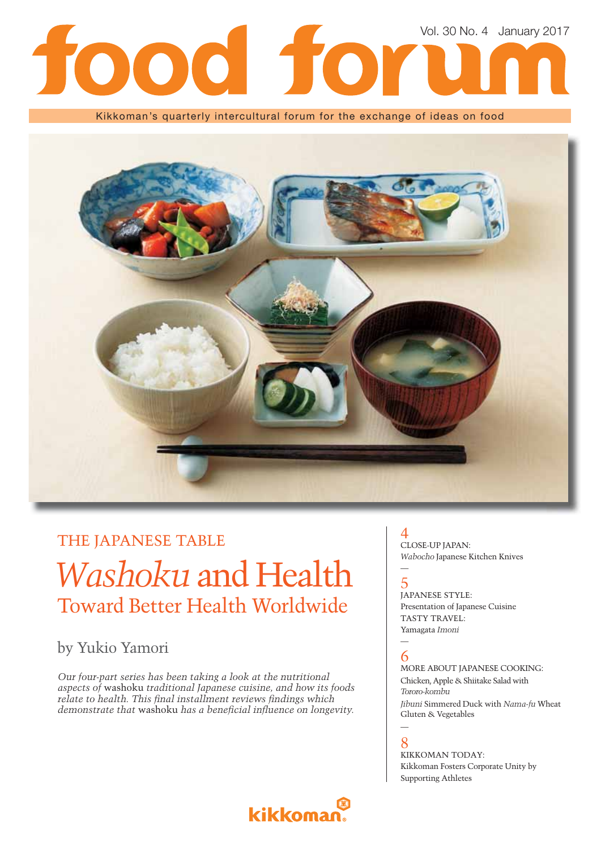

Kikkoman's quarterly intercultural forum for the exchange of ideas on food



## THE JAPANESE TABLE

## *Washoku* and Health Toward Better Health Worldwide

### by Yukio Yamori

*Our four-part series has been taking a look at the nutritional aspects of* washoku *traditional Japanese cuisine, and how its foods relate to health. This final installment reviews findings which demonstrate that washoku has a beneficial influence on longevity.* 

### 4 CLOSE-UP JAPAN: *Wabocho* Japanese Kitchen Knives

### — 5

JAPANESE STYLE: Presentation of Japanese Cuisine TASTY TRAVEL: Yamagata *Imoni*

### — 6

MORE ABOUT JAPANESE COOKING: Chicken, Apple & Shiitake Salad with *Tororo-kombu Jibuni* Simmered Duck with *Nama-fu* Wheat

**A** 8

Gluten & Vegetables

KIKKOMAN TODAY: Kikkoman Fosters Corporate Unity by Supporting Athletes

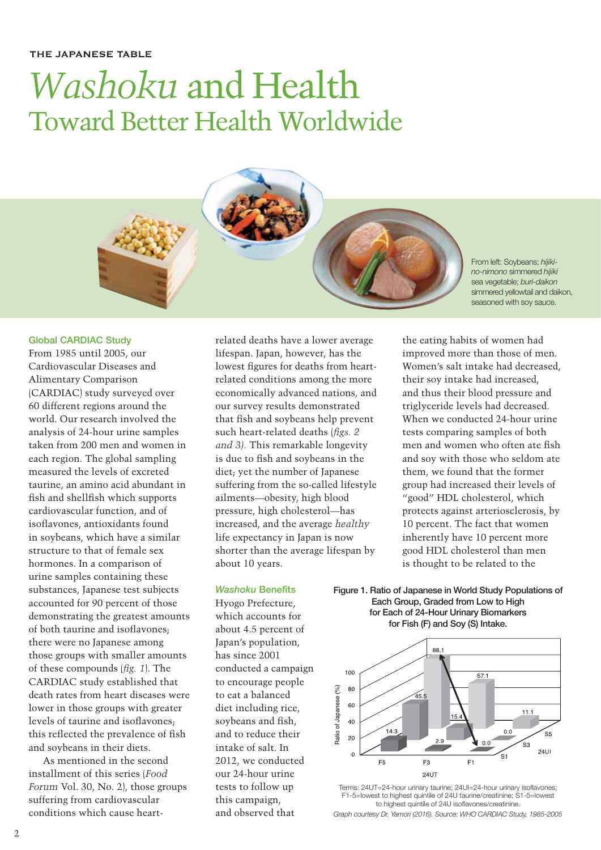# *Washoku* and Health Toward Better Health Worldwide

### **Global CARDIAC Study**

From 1985 until 2005, our Cardiovascular Diseases and Alimentary Comparison (CARDIAC) study surveyed over 60 different regions around the world. Our research involved the analysis of 24-hour urine samples taken from 200 men and women in each region. The global sampling measured the levels of excreted taurine, an amino acid abundant in fish and shellfish which supports cardiovascular function, and of isoflavones, antioxidants found in soybeans, which have a similar structure to that of female sex hormones. In a comparison of urine samples containing these substances, Japanese test subjects accounted for 90 percent of those demonstrating the greatest amounts of both taurine and isoflavones. there were no Japanese among those groups with smaller amounts of these compounds (*fig. 1*). The CARDIAC study established that death rates from heart diseases were lower in those groups with greater levels of taurine and isoflavones: this reflected the prevalence of fish and soybeans in their diets.

As mentioned in the second installment of this series (*Food Forum* Vol. 30, No. 2), those groups suffering from cardiovascular conditions which cause heartrelated deaths have a lower average lifespan. Japan, however, has the lowest figures for deaths from heartrelated conditions among the more economically advanced nations, and our survey results demonstrated that fish and soybeans help prevent such heart-related deaths (*figs. 2 and 3).* This remarkable longevity is due to fish and soybeans in the diet; yet the number of Japanese suffering from the so-called lifestyle ailments—obesity, high blood pressure, high cholesterol—has increased, and the average *healthy*  life expectancy in Japan is now shorter than the average lifespan by about 10 years.

### **Washoku Benefits**

Hyogo Prefecture, which accounts for about 4.5 percent of Japan's population, has since 2001 conducted a campaign to encourage people to eat a balanced diet including rice, soybeans and fish. and to reduce their intake of salt. In 2012, we conducted our 24-hour urine tests to follow up this campaign, and observed that

*no-nimono* simmered *hijiki*  sea vegetable; *buri-daikon*  simmered yellowtail and daikon, seasoned with soy sauce.

From left: Soybeans; *hijiki-*

the eating habits of women had improved more than those of men. Women's salt intake had decreased, their soy intake had increased, and thus their blood pressure and triglyceride levels had decreased. When we conducted 24-hour urine tests comparing samples of both men and women who often ate fish and soy with those who seldom ate them, we found that the former group had increased their levels of "good" HDL cholesterol, which protects against arteriosclerosis, by 10 percent. The fact that women inherently have 10 percent more good HDL cholesterol than men is thought to be related to the

**Figure 1. Ratio of Japanese in World Study Populations of Each Group, Graded from Low to High for Each of 24-Hour Urinary Biomarkers for Fish (F) and Soy (S) Intake.**



Terms: 24UT=24-hour urinary taurine; 24UI=24-hour urinary isoflavones; F1-5=lowest to highest quintile of 24U taurine/creatinine; S1-5=lowest to highest quintile of 24U isoflavones/creatinine.

*Graph courtesy Dr. Yamori (2016). Source: WHO CARDIAC Study, 1985-2005*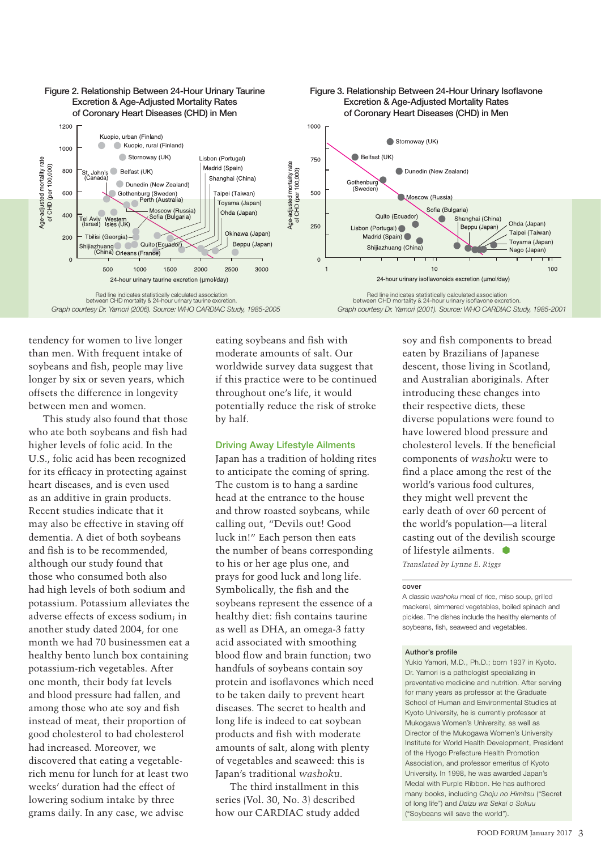

tendency for women to live longer than men. With frequent intake of soybeans and fish, people may live longer by six or seven years, which offsets the difference in longevity between men and women.

This study also found that those who ate both soybeans and fish had higher levels of folic acid. In the U.S., folic acid has been recognized for its efficacy in protecting against heart diseases, and is even used as an additive in grain products. Recent studies indicate that it may also be effective in staving off dementia. A diet of both soybeans and fish is to be recommended. although our study found that those who consumed both also had high levels of both sodium and potassium. Potassium alleviates the adverse effects of excess sodium; in another study dated 2004, for one month we had 70 businessmen eat a healthy bento lunch box containing potassium-rich vegetables. After one month, their body fat levels and blood pressure had fallen, and among those who ate soy and fish instead of meat, their proportion of good cholesterol to bad cholesterol had increased. Moreover, we discovered that eating a vegetablerich menu for lunch for at least two weeks' duration had the effect of lowering sodium intake by three grams daily. In any case, we advise

eating soybeans and fish with moderate amounts of salt. Our worldwide survey data suggest that if this practice were to be continued throughout one's life, it would potentially reduce the risk of stroke by half.

### **Driving Away Lifestyle Ailments**

Japan has a tradition of holding rites to anticipate the coming of spring. The custom is to hang a sardine head at the entrance to the house and throw roasted soybeans, while calling out, "Devils out! Good luck in!" Each person then eats the number of beans corresponding to his or her age plus one, and prays for good luck and long life. Symbolically, the fish and the soybeans represent the essence of a healthy diet: fish contains taurine as well as DHA, an omega-3 fatty acid associated with smoothing blood flow and brain function; two handfuls of soybeans contain soy protein and isoflavones which need to be taken daily to prevent heart diseases. The secret to health and long life is indeed to eat soybean products and fish with moderate amounts of salt, along with plenty of vegetables and seaweed: this is Japan's traditional *washoku*.

The third installment in this series (Vol. 30, No. 3) described how our CARDIAC study added

soy and fish components to bread eaten by Brazilians of Japanese descent, those living in Scotland, and Australian aboriginals. After introducing these changes into their respective diets, these diverse populations were found to have lowered blood pressure and cholesterol levels. If the beneficial components of *washoku* were to find a place among the rest of the world's various food cultures, they might well prevent the early death of over 60 percent of the world's population—a literal casting out of the devilish scourge of lifestyle ailments. *Translated by Lynne E. Riggs*

#### **cover**

A classic *washoku* meal of rice, miso soup, grilled mackerel, simmered vegetables, boiled spinach and pickles. The dishes include the healthy elements of soybeans, fish, seaweed and vegetables.

#### **Author's profile**

Yukio Yamori, M.D., Ph.D.; born 1937 in Kyoto. Dr. Yamori is a pathologist specializing in preventative medicine and nutrition. After serving for many years as professor at the Graduate School of Human and Environmental Studies at Kyoto University, he is currently professor at Mukogawa Women's University, as well as Director of the Mukogawa Women's University Institute for World Health Development, President of the Hyogo Prefecture Health Promotion Association, and professor emeritus of Kyoto University. In 1998, he was awarded Japan's Medal with Purple Ribbon. He has authored many books, including *Choju no Himitsu* ("Secret of long life") and *Daizu wa Sekai o Sukuu* ("Soybeans will save the world").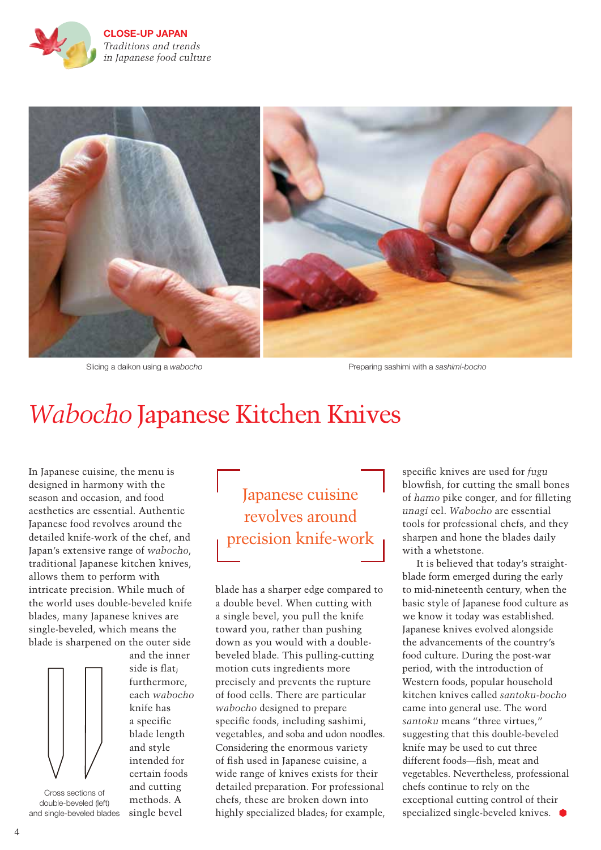

**CLOSE-UP JAPAN** *Traditions and trends in Japanese food culture* 



Slicing a daikon using a wabocho **Preparing sashimi with a sashimi-bocho** Preparing sashimi with a sashimi-bocho

## *Wabocho* Japanese Kitchen Knives

In Japanese cuisine, the menu is designed in harmony with the season and occasion, and food aesthetics are essential. Authentic Japanese food revolves around the detailed knife-work of the chef, and Japan's extensive range of *wabocho*, traditional Japanese kitchen knives, allows them to perform with intricate precision. While much of the world uses double-beveled knife blades, many Japanese knives are single-beveled, which means the blade is sharpened on the outer side



Cross sections of double-beveled (left) and single-beveled blades

and the inner side is flat; furthermore, each *wabocho* knife has a specific blade length and style intended for certain foods and cutting methods. A single bevel

Japanese cuisine revolves around precision knife-work

blade has a sharper edge compared to a double bevel. When cutting with a single bevel, you pull the knife toward you, rather than pushing down as you would with a doublebeveled blade. This pulling-cutting motion cuts ingredients more precisely and prevents the rupture of food cells. There are particular *wabocho* designed to prepare specific foods, including sashimi, vegetables, and soba and udon noodles. Considering the enormous variety of fish used in Japanese cuisine, a wide range of knives exists for their detailed preparation. For professional chefs, these are broken down into highly specialized blades; for example,

specific knives are used for *fugu* blowfish, for cutting the small bones of *hamo* pike conger, and for filleting *unagi* eel. *Wabocho* are essential tools for professional chefs, and they sharpen and hone the blades daily with a whetstone.

It is believed that today's straightblade form emerged during the early to mid-nineteenth century, when the basic style of Japanese food culture as we know it today was established. Japanese knives evolved alongside the advancements of the country's food culture. During the post-war period, with the introduction of Western foods, popular household kitchen knives called *santoku-bocho* came into general use. The word *santoku* means "three virtues," suggesting that this double-beveled knife may be used to cut three different foods-fish, meat and vegetables. Nevertheless, professional chefs continue to rely on the exceptional cutting control of their specialized single-beveled knives.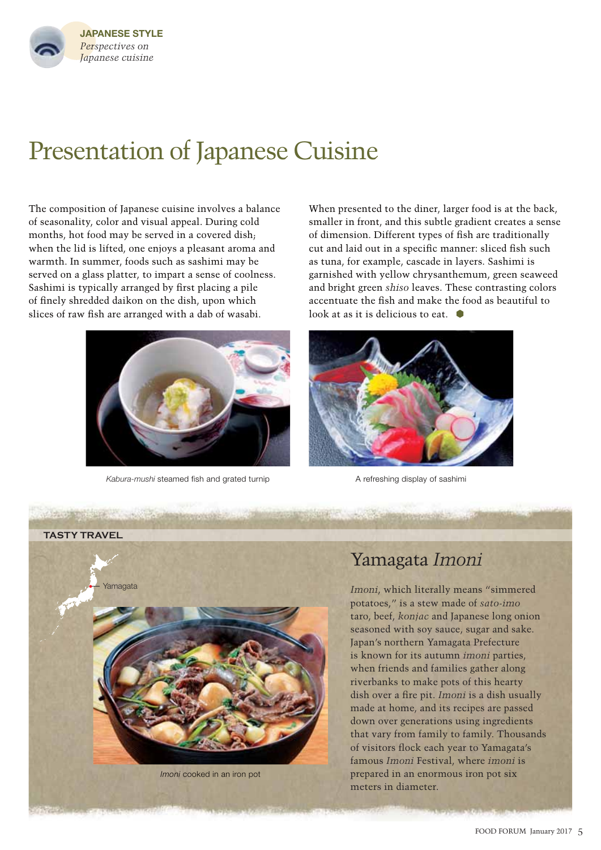

## Presentation of Japanese Cuisine

The composition of Japanese cuisine involves a balance of seasonality, color and visual appeal. During cold months, hot food may be served in a covered dish; when the lid is lifted, one enjoys a pleasant aroma and warmth. In summer, foods such as sashimi may be served on a glass platter, to impart a sense of coolness. Sashimi is typically arranged by first placing a pile of finely shredded daikon on the dish, upon which slices of raw fish are arranged with a dab of wasabi.



Kabura-mushi steamed fish and grated turnip **A** refreshing display of sashimi

When presented to the diner, larger food is at the back, smaller in front, and this subtle gradient creates a sense of dimension. Different types of fish are traditionally cut and laid out in a specific manner: sliced fish such as tuna, for example, cascade in layers. Sashimi is garnished with yellow chrysanthemum, green seaweed and bright green *shiso* leaves. These contrasting colors accentuate the fish and make the food as beautiful to look at as it is delicious to eat.  $\bullet$ 



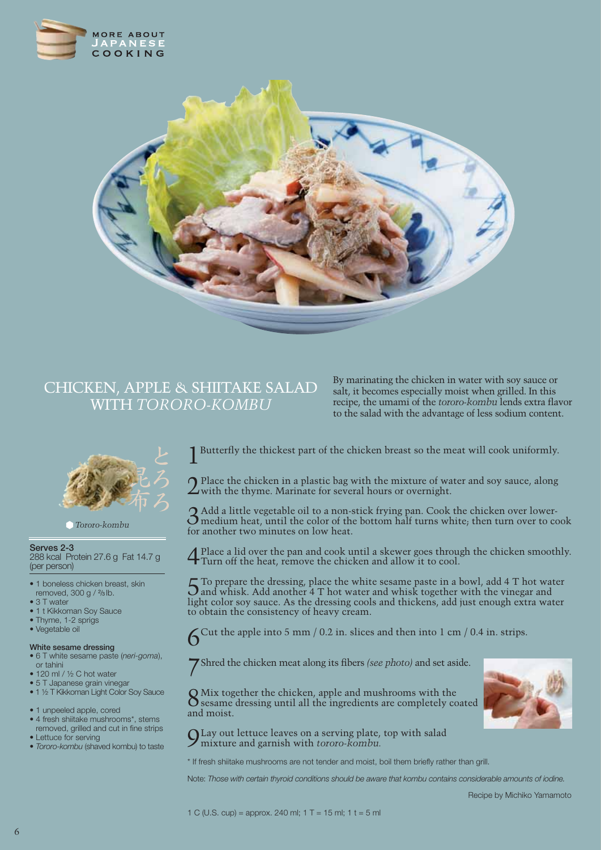



### CHICKEN, APPLE & SHIITAKE SALAD WITH *TORORO-KOMBU*

By marinating the chicken in water with soy sauce or salt, it becomes especially moist when grilled. In this recipe, the umami of the *tororo-kombu* lends extra flavor to the salad with the advantage of less sodium content.



*Tororo-kombu*

### **Serves 2-3**

288 kcal Protein 27.6 g Fat 14.7 g (per person)

- 1 boneless chicken breast, skin removed, 300 g / 2/3 lb.
- 3 T water
- 1 t Kikkoman Soy Sauce
- Thyme, 1-2 sprigs • Vegetable oil

### **White sesame dressing**

- 6 T white sesame paste (*neri-goma*), or tahini
- 120 ml / ½ C hot water
- 5 T Japanese grain vinegar • 1 ½ T Kikkoman Light Color Soy Sauce
- 
- 1 unpeeled apple, cored
- 4 fresh shiitake mushrooms\*, stems removed, grilled and cut in fine strips • Lettuce for serving
- *Tororo-kombu* (shaved kombu) to taste

1 Butterfly the thickest part of the chicken breast so the meat will cook uniformly.

 $2$  Place the chicken in a plastic bag with the mixture of water and soy sauce, along with the thyme. Marinate for several hours or overnight.

 $\boldsymbol{2}$  Add a little vegetable oil to a non-stick frying pan. Cook the chicken over lower- $O$  medium heat, until the color of the bottom half turns white; then turn over to cook for another two minutes on low heat.

4Place a lid over the pan and cook until a skewer goes through the chicken smoothly. Turn off the heat, remove the chicken and allow it to cool.

5To prepare the dressing, place the white sesame paste in a bowl, add 4 T hot water and whisk. Add another 4 T hot water and whisk together with the vinegar and light color soy sauce. As the dressing cools and thickens, add just enough extra water to obtain the consistency of heavy cream.

 $6^{\text{Cut the apple into 5 mm } / 0.2 \text{ in. slices and then into 1 cm } / 0.4 \text{ in. strips.}}$ 

**7** Shred the chicken meat along its fibers *(see photo)* and set aside.

8Mix together the chicken, apple and mushrooms with the sesame dressing until all the ingredients are completely coated and moist.

9Lay out lettuce leaves on a serving plate, top with salad mixture and garnish with *tororo-kombu.*

\* If fresh shiitake mushrooms are not tender and moist, boil them briefly rather than grill.

Note: *Those with certain thyroid conditions should be aware that kombu contains considerable amounts of iodine.*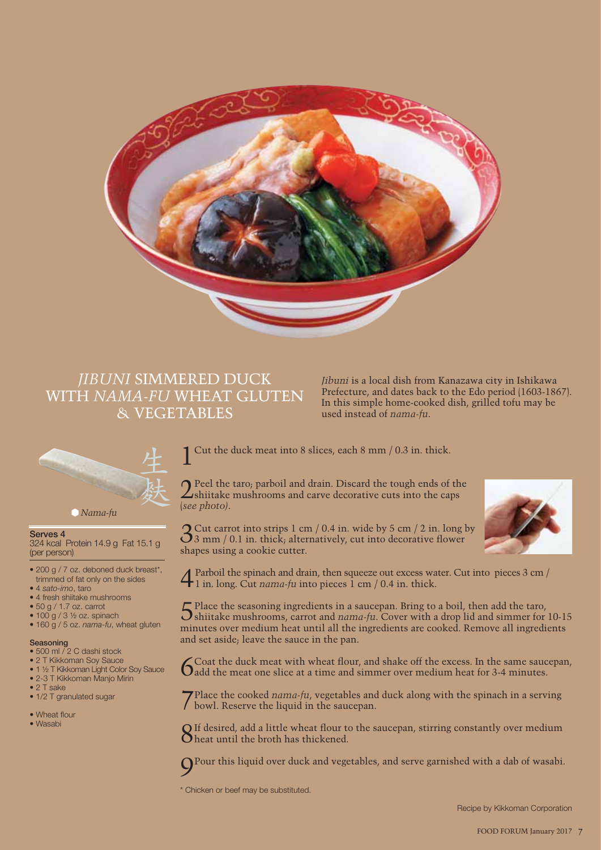

### *JIBUNI* SIMMERED DUCK WITH *NAMA-FU* WHEAT GLUTEN & VEGETABLES

*Jibuni* is a local dish from Kanazawa city in Ishikawa Prefecture, and dates back to the Edo period (1603-1867). In this simple home-cooked dish, grilled tofu may be used instead of *nama-fu*.



### **Serves 4**

324 kcal Protein 14.9 g Fat 15.1 g (per person)

- 200 g / 7 oz. deboned duck breast\*, trimmed of fat only on the sides
- 4 *sato-imo*, taro
- 4 fresh shiitake mushrooms
- 50 g / 1.7 oz. carrot
- $\bullet$  100 g / 3  $\frac{1}{2}$  oz. spinach
- 160 g / 5 oz. *nama-fu*, wheat gluten

#### **Seasoning**

- 500 ml / 2 C dashi stock
- 2 T Kikkoman Soy Sauce
- 1 ½ T Kikkoman Light Color Soy Sauce • 2-3 T Kikkoman Manjo Mirin
- 
- 2 T sake
- 1/2 T granulated sugar
- Wheat flour
- Wasabi

Cut the duck meat into 8 slices, each 8 mm  $/$  0.3 in. thick.

2Peel the taro; parboil and drain. Discard the tough ends of the shiitake mushrooms and carve decorative cuts into the caps (*see photo)*.

 $3 \text{ cm}$  / 0.1 in. thick; alternatively, cut into decorative flower shapes using a cookie cutter.

4Parboil the spinach and drain, then squeeze out excess water. Cut into pieces 3 cm / 1 in. long. Cut *nama-fu* into pieces 1 cm / 0.4 in. thick.

5Place the seasoning ingredients in a saucepan. Bring to a boil, then add the taro, shiitake mushrooms, carrot and *nama-fu*. Cover with a drop lid and simmer for 10-15 minutes over medium heat until all the ingredients are cooked. Remove all ingredients and set aside; leave the sauce in the pan.

 $6$ Coat the duck meat with wheat flour, and shake off the excess. In the same saucepan,  $6$  add the meat one slice at a time and simmer over medium heat for 3-4 minutes.

7Place the cooked *nama-fu*, vegetables and duck along with the spinach in a serving bowl. Reserve the liquid in the saucepan.

 $8$ If desired, add a little wheat flour to the saucepan, stirring constantly over medium  $8$  heat until the broth has thickened.

9Pour this liquid over duck and vegetables, and serve garnished with a dab of wasabi.

\* Chicken or beef may be substituted.

Recipe by Kikkoman Corporation